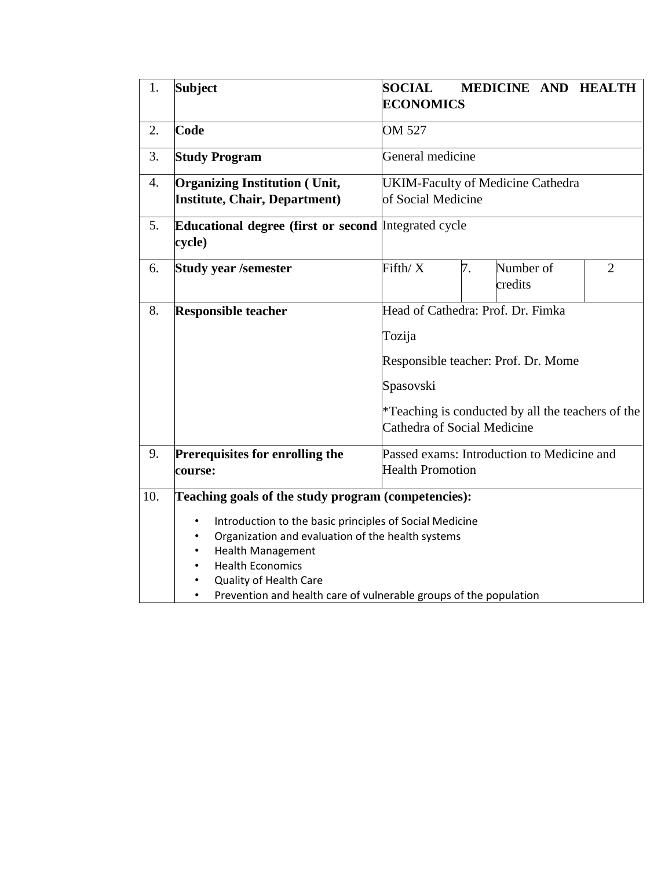| 1.  | <b>Subject</b>                                                                                                                                                                                                                                                                                                                                      | <b>SOCIAL</b><br><b>ECONOMICS</b>                                                       |    | MEDICINE AND HEALTH                                                                      |                |
|-----|-----------------------------------------------------------------------------------------------------------------------------------------------------------------------------------------------------------------------------------------------------------------------------------------------------------------------------------------------------|-----------------------------------------------------------------------------------------|----|------------------------------------------------------------------------------------------|----------------|
| 2.  | Code                                                                                                                                                                                                                                                                                                                                                | OM 527                                                                                  |    |                                                                                          |                |
| 3.  | <b>Study Program</b>                                                                                                                                                                                                                                                                                                                                | General medicine                                                                        |    |                                                                                          |                |
| 4.  | <b>Organizing Institution (Unit,</b><br><b>Institute, Chair, Department)</b>                                                                                                                                                                                                                                                                        | <b>UKIM-Faculty of Medicine Cathedra</b><br>of Social Medicine                          |    |                                                                                          |                |
| 5.  | Educational degree (first or second Integrated cycle<br>cycle)                                                                                                                                                                                                                                                                                      |                                                                                         |    |                                                                                          |                |
| 6.  | <b>Study year /semester</b>                                                                                                                                                                                                                                                                                                                         | Fifth/X                                                                                 | 7. | Number of<br>credits                                                                     | $\overline{2}$ |
| 8.  | <b>Responsible teacher</b>                                                                                                                                                                                                                                                                                                                          | Head of Cathedra: Prof. Dr. Fimka<br>Tozija<br>Spasovski<br>Cathedra of Social Medicine |    | Responsible teacher: Prof. Dr. Mome<br>*Teaching is conducted by all the teachers of the |                |
| 9.  | Prerequisites for enrolling the<br>course:                                                                                                                                                                                                                                                                                                          | <b>Health Promotion</b>                                                                 |    | Passed exams: Introduction to Medicine and                                               |                |
| 10. | Teaching goals of the study program (competencies):<br>Introduction to the basic principles of Social Medicine<br>$\bullet$<br>Organization and evaluation of the health systems<br>$\bullet$<br><b>Health Management</b><br><b>Health Economics</b><br>Quality of Health Care<br>Prevention and health care of vulnerable groups of the population |                                                                                         |    |                                                                                          |                |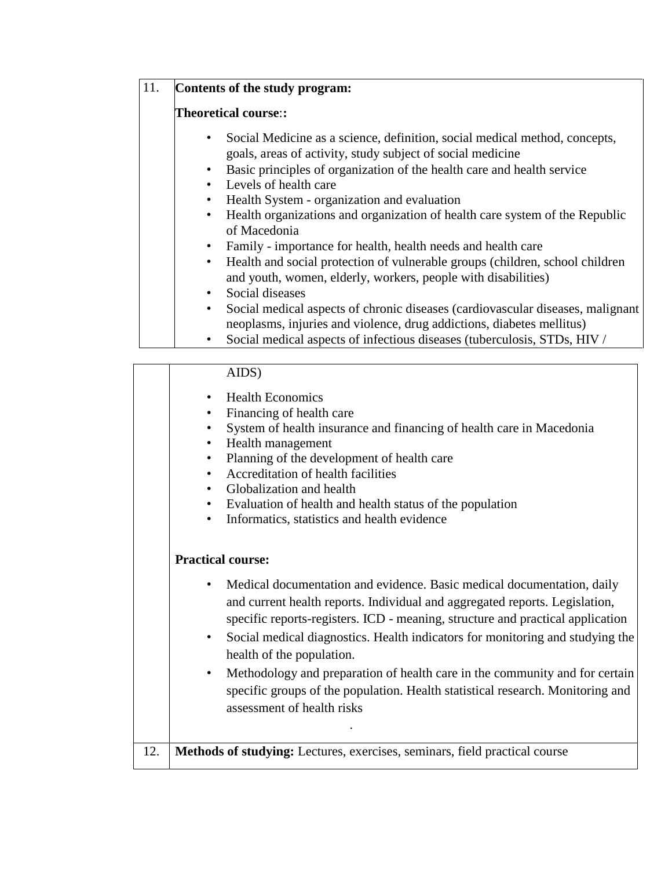## 11. **Contents of the study program:**

## **Theoretical course**:**:**

- Social Medicine as a science, definition, social medical method, concepts, goals, areas of activity, study subject of social medicine
- Basic principles of organization of the health care and health service
- Levels of health care
- Health System organization and evaluation
- Health organizations and organization of health care system of the Republic of Macedonia
- Family importance for health, health needs and health care
- Health and social protection of vulnerable groups (children, school children and youth, women, elderly, workers, people with disabilities)
- Social diseases
- Social medical aspects of chronic diseases (cardiovascular diseases, malignant neoplasms, injuries and violence, drug addictions, diabetes mellitus)
- Social medical aspects of infectious diseases (tuberculosis, STDs, HIV /

## AIDS)

- Health Economics
- Financing of health care
- System of health insurance and financing of health care in Macedonia
- Health management

*<b>1*.  *<b>1 1 1 1 1 1 1 1 1 1 1* 

- Planning of the development of health care
- Accreditation of health facilities
- Globalization and health
- Evaluation of health and health status of the population
- Informatics, statistics and health evidence

## **Practical course:**

- Medical documentation and evidence. Basic medical documentation, daily and current health reports. Individual and aggregated reports. Legislation, specific reports-registers. ICD - meaning, structure and practical application
- Social medical diagnostics. Health indicators for monitoring and studying the health of the population.
- Methodology and preparation of health care in the community and for certain specific groups of the population. Health statistical research. Monitoring and assessment of health risks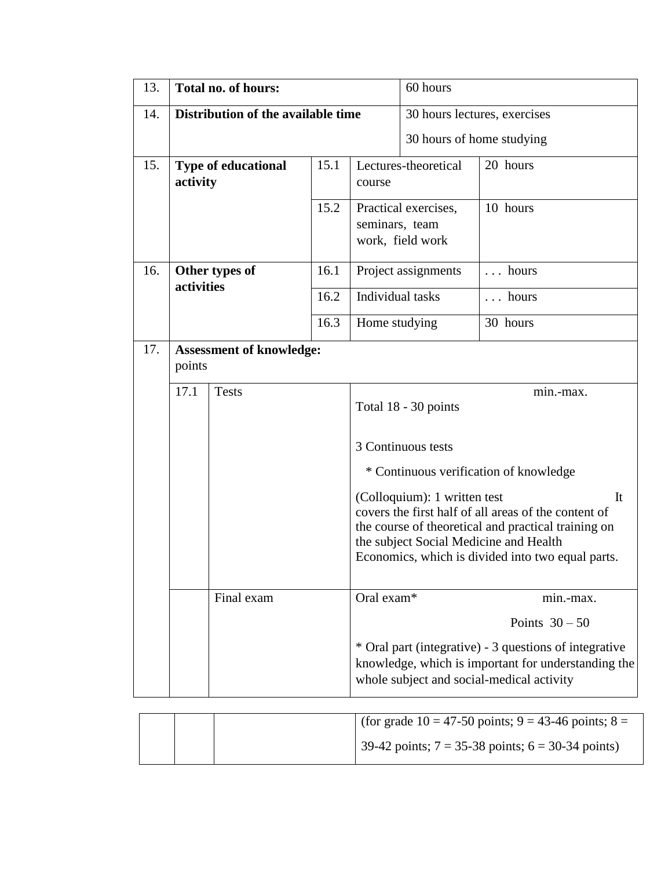| 13. |            | Total no. of hours:                |                                                                                                                                                                                                                                            |                                                                                                                                                            | 60 hours                  |                                        |  |
|-----|------------|------------------------------------|--------------------------------------------------------------------------------------------------------------------------------------------------------------------------------------------------------------------------------------------|------------------------------------------------------------------------------------------------------------------------------------------------------------|---------------------------|----------------------------------------|--|
| 14. |            | Distribution of the available time |                                                                                                                                                                                                                                            |                                                                                                                                                            |                           | 30 hours lectures, exercises           |  |
|     |            |                                    |                                                                                                                                                                                                                                            |                                                                                                                                                            | 30 hours of home studying |                                        |  |
| 15. | activity   | <b>Type of educational</b>         | 15.1                                                                                                                                                                                                                                       | course                                                                                                                                                     | Lectures-theoretical      | 20 hours                               |  |
|     |            |                                    | 15.2                                                                                                                                                                                                                                       | 10 hours<br>Practical exercises,<br>seminars, team<br>work, field work                                                                                     |                           |                                        |  |
| 16. |            | Other types of                     | 16.1                                                                                                                                                                                                                                       |                                                                                                                                                            | Project assignments       | hours<br>$\mathbf{L}$                  |  |
|     | activities |                                    | 16.2                                                                                                                                                                                                                                       | Individual tasks                                                                                                                                           |                           | hours                                  |  |
|     |            |                                    |                                                                                                                                                                                                                                            | Home studying                                                                                                                                              |                           | 30 hours                               |  |
| 17. | points     | <b>Assessment of knowledge:</b>    |                                                                                                                                                                                                                                            |                                                                                                                                                            |                           |                                        |  |
|     | 17.1       | <b>Tests</b>                       |                                                                                                                                                                                                                                            |                                                                                                                                                            | Total 18 - 30 points      | min.-max.                              |  |
|     |            |                                    |                                                                                                                                                                                                                                            |                                                                                                                                                            | 3 Continuous tests        | * Continuous verification of knowledge |  |
|     |            |                                    | (Colloquium): 1 written test<br>covers the first half of all areas of the content of<br>the course of theoretical and practical training on<br>the subject Social Medicine and Health<br>Economics, which is divided into two equal parts. |                                                                                                                                                            | It                        |                                        |  |
|     |            | Final exam                         |                                                                                                                                                                                                                                            | Oral exam*                                                                                                                                                 |                           | min.-max.                              |  |
|     |            |                                    |                                                                                                                                                                                                                                            |                                                                                                                                                            |                           | Points $30-50$                         |  |
|     |            |                                    |                                                                                                                                                                                                                                            | * Oral part (integrative) - 3 questions of integrative<br>knowledge, which is important for understanding the<br>whole subject and social-medical activity |                           |                                        |  |

|  | (for grade 10 = 47-50 points; 9 = 43-46 points; 8 =   |
|--|-------------------------------------------------------|
|  | 39-42 points; $7 = 35-38$ points; $6 = 30-34$ points) |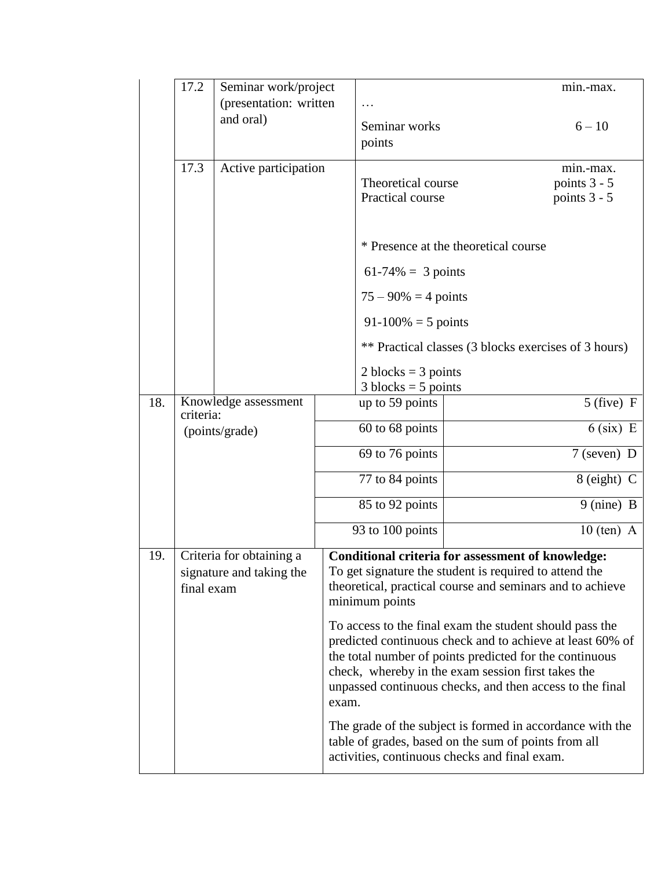|                                                                           | 17.2           | Seminar work/project   |                                        |                                                                                                                                                                                                                                                                                                   |                                                                                                                                                                                 | min.-max.                                 |  |  |  |
|---------------------------------------------------------------------------|----------------|------------------------|----------------------------------------|---------------------------------------------------------------------------------------------------------------------------------------------------------------------------------------------------------------------------------------------------------------------------------------------------|---------------------------------------------------------------------------------------------------------------------------------------------------------------------------------|-------------------------------------------|--|--|--|
|                                                                           |                | (presentation: written |                                        |                                                                                                                                                                                                                                                                                                   |                                                                                                                                                                                 |                                           |  |  |  |
|                                                                           |                | and oral)              |                                        | Seminar works<br>points                                                                                                                                                                                                                                                                           |                                                                                                                                                                                 | $6 - 10$                                  |  |  |  |
|                                                                           | 17.3           | Active participation   | Theoretical course<br>Practical course |                                                                                                                                                                                                                                                                                                   |                                                                                                                                                                                 | min.-max.<br>points 3 - 5<br>points 3 - 5 |  |  |  |
|                                                                           |                |                        |                                        |                                                                                                                                                                                                                                                                                                   | * Presence at the theoretical course                                                                                                                                            |                                           |  |  |  |
|                                                                           |                |                        |                                        | $61-74\% = 3$ points                                                                                                                                                                                                                                                                              |                                                                                                                                                                                 |                                           |  |  |  |
|                                                                           |                |                        |                                        | $75 - 90\% = 4$ points                                                                                                                                                                                                                                                                            |                                                                                                                                                                                 |                                           |  |  |  |
|                                                                           |                |                        |                                        | $91-100\% = 5$ points                                                                                                                                                                                                                                                                             |                                                                                                                                                                                 |                                           |  |  |  |
|                                                                           |                |                        |                                        | ** Practical classes (3 blocks exercises of 3 hours)                                                                                                                                                                                                                                              |                                                                                                                                                                                 |                                           |  |  |  |
|                                                                           |                |                        |                                        | 2 blocks = $3$ points<br>$3 blocks = 5 points$                                                                                                                                                                                                                                                    |                                                                                                                                                                                 |                                           |  |  |  |
| 18.                                                                       | criteria:      | Knowledge assessment   |                                        | up to 59 points                                                                                                                                                                                                                                                                                   |                                                                                                                                                                                 | $5$ (five) F                              |  |  |  |
|                                                                           | (points/grade) |                        | 60 to 68 points                        |                                                                                                                                                                                                                                                                                                   |                                                                                                                                                                                 | $6$ (six) E                               |  |  |  |
|                                                                           |                |                        | 69 to 76 points                        |                                                                                                                                                                                                                                                                                                   |                                                                                                                                                                                 | $7$ (seven) D                             |  |  |  |
|                                                                           |                |                        |                                        | 77 to 84 points                                                                                                                                                                                                                                                                                   |                                                                                                                                                                                 | $8$ (eight) C                             |  |  |  |
|                                                                           |                |                        |                                        | 85 to 92 points                                                                                                                                                                                                                                                                                   |                                                                                                                                                                                 | 9 (nine) B                                |  |  |  |
|                                                                           |                |                        |                                        | 93 to 100 points                                                                                                                                                                                                                                                                                  |                                                                                                                                                                                 | $10$ (ten) A                              |  |  |  |
| 19.<br>Criteria for obtaining a<br>signature and taking the<br>final exam |                |                        |                                        | minimum points                                                                                                                                                                                                                                                                                    | <b>Conditional criteria for assessment of knowledge:</b><br>To get signature the student is required to attend the<br>theoretical, practical course and seminars and to achieve |                                           |  |  |  |
|                                                                           |                |                        | exam.                                  | To access to the final exam the student should pass the<br>predicted continuous check and to achieve at least 60% of<br>the total number of points predicted for the continuous<br>check, whereby in the exam session first takes the<br>unpassed continuous checks, and then access to the final |                                                                                                                                                                                 |                                           |  |  |  |
|                                                                           |                |                        |                                        |                                                                                                                                                                                                                                                                                                   | The grade of the subject is formed in accordance with the<br>table of grades, based on the sum of points from all<br>activities, continuous checks and final exam.              |                                           |  |  |  |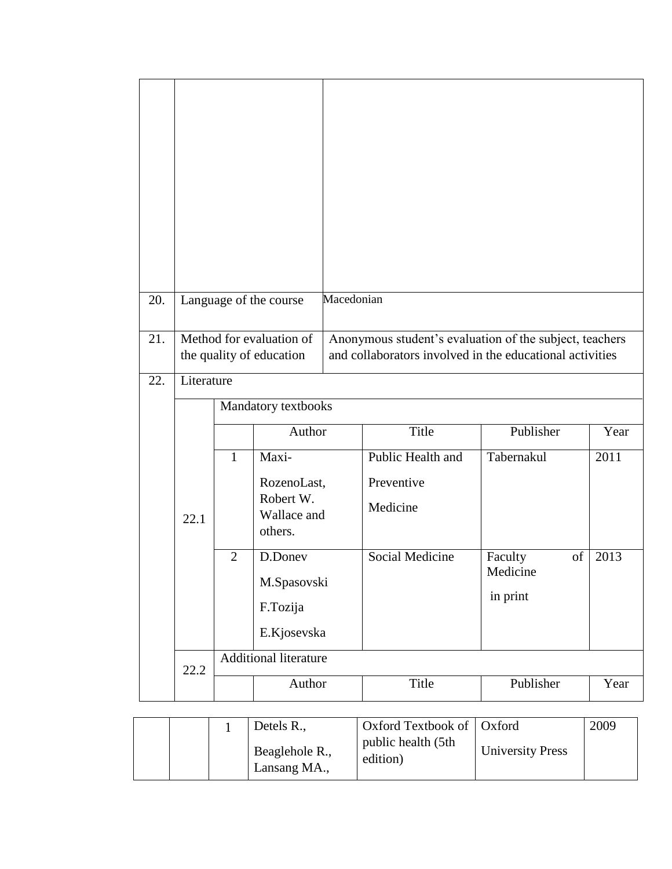| 20. |            |                                                      | Language of the course              | Macedonian                                                                                                          |                   |               |      |
|-----|------------|------------------------------------------------------|-------------------------------------|---------------------------------------------------------------------------------------------------------------------|-------------------|---------------|------|
| 21. |            | Method for evaluation of<br>the quality of education |                                     | Anonymous student's evaluation of the subject, teachers<br>and collaborators involved in the educational activities |                   |               |      |
| 22. | Literature |                                                      |                                     |                                                                                                                     |                   |               |      |
|     |            |                                                      | Mandatory textbooks                 |                                                                                                                     |                   |               |      |
|     |            |                                                      | Author                              |                                                                                                                     | Title             | Publisher     | Year |
|     |            | $\mathbf{1}$                                         | Maxi-                               |                                                                                                                     | Public Health and | Tabernakul    | 2011 |
|     |            |                                                      | RozenoLast,                         |                                                                                                                     | Preventive        |               |      |
|     | 22.1       |                                                      | Robert W.<br>Wallace and<br>others. |                                                                                                                     | Medicine          |               |      |
|     |            | $\overline{2}$                                       | D.Doney                             |                                                                                                                     | Social Medicine   | of<br>Faculty | 2013 |
|     |            |                                                      | M.Spasovski                         |                                                                                                                     |                   | Medicine      |      |
|     |            |                                                      | F.Tozija                            |                                                                                                                     |                   | in print      |      |
|     |            |                                                      | E.Kjosevska                         |                                                                                                                     |                   |               |      |
|     |            | Additional literature                                |                                     |                                                                                                                     |                   |               |      |
|     |            |                                                      |                                     |                                                                                                                     |                   |               |      |
|     | 22.2       |                                                      | Author                              |                                                                                                                     | Title             | Publisher     | Year |

|  | Detels R.,                     | Oxford Textbook of   Oxford    |                         | 2009 |
|--|--------------------------------|--------------------------------|-------------------------|------|
|  | Beaglehole R.,<br>Lansang MA., | public health (5th<br>edition) | <b>University Press</b> |      |